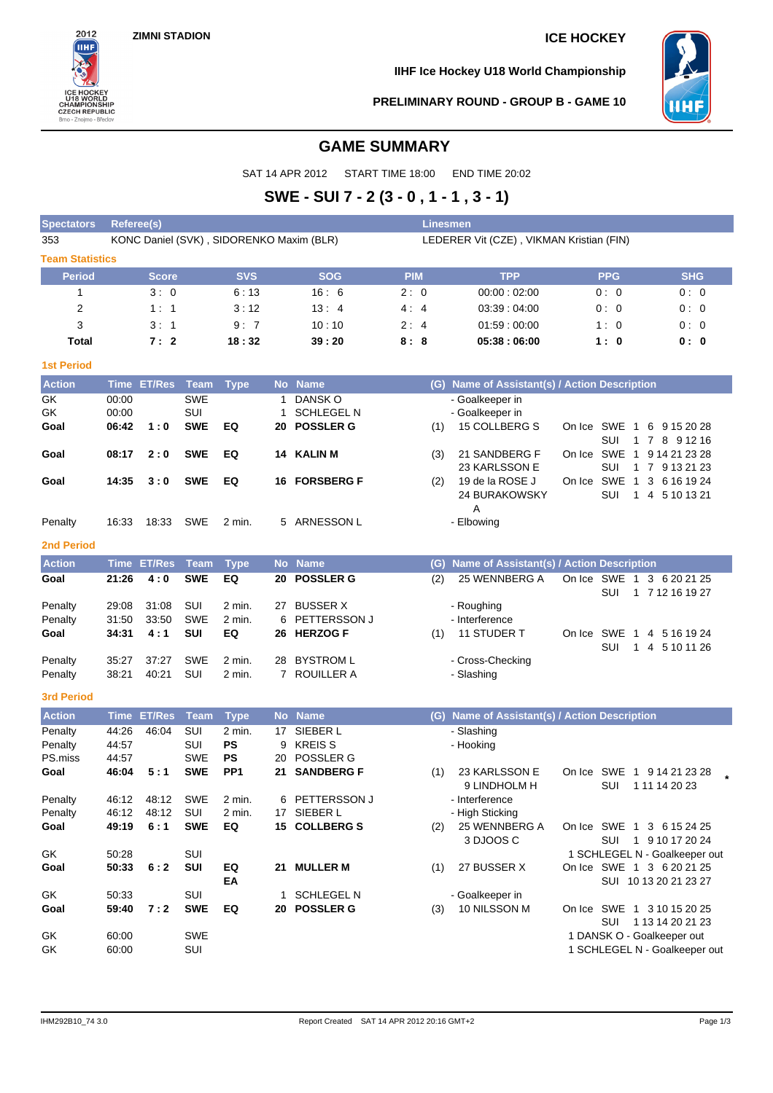

**IIHF Ice Hockey U18 World Championship**



## **PRELIMINARY ROUND - GROUP B - GAME 10**

# **GAME SUMMARY**

SAT 14 APR 2012 START TIME 18:00 END TIME 20:02

# **SWE - SUI 7 - 2 (3 - 0 , 1 - 1 , 3 - 1)**

| <b>Spectators</b>      | <b>Linesmen</b><br>Referee(s)            |                    |                   |                              |    |                            |                                          |            |     |                                               |            |                              |                                                             |  |  |
|------------------------|------------------------------------------|--------------------|-------------------|------------------------------|----|----------------------------|------------------------------------------|------------|-----|-----------------------------------------------|------------|------------------------------|-------------------------------------------------------------|--|--|
| 353                    | KONC Daniel (SVK), SIDORENKO Maxim (BLR) |                    |                   |                              |    |                            | LEDERER Vit (CZE), VIKMAN Kristian (FIN) |            |     |                                               |            |                              |                                                             |  |  |
| <b>Team Statistics</b> |                                          |                    |                   |                              |    |                            |                                          |            |     |                                               |            |                              |                                                             |  |  |
| <b>Period</b>          |                                          | <b>Score</b>       |                   | <b>SVS</b>                   |    | <b>SOG</b>                 |                                          | <b>PIM</b> |     | <b>TPP</b>                                    |            | <b>PPG</b>                   | <b>SHG</b>                                                  |  |  |
| 1                      |                                          | 3:0                |                   | 6:13                         |    | 16:6                       |                                          | 2:0        |     | 00:00:02:00                                   |            | 0:0                          | 0:0                                                         |  |  |
| $\overline{2}$         |                                          | 1:1                |                   | 3:12                         |    | 13:4                       |                                          | 4:4        |     | 03:39:04:00                                   |            | 0:0                          | 0:0                                                         |  |  |
| 3                      |                                          | 3: 1               |                   | 9:7                          |    | 10:10                      |                                          | 2:4        |     | 01:59:00:00                                   |            | 1:0                          | 0:0                                                         |  |  |
| Total                  |                                          | 7:2                |                   | 18:32                        |    | 39:20                      |                                          | 8:8        |     | 05:38:06:00                                   |            | 1:0                          | 0:0                                                         |  |  |
| <b>1st Period</b>      |                                          |                    |                   |                              |    |                            |                                          |            |     |                                               |            |                              |                                                             |  |  |
| <b>Action</b>          |                                          | <b>Time ET/Res</b> | Team              | <b>Type</b>                  |    | No Name                    |                                          |            |     | (G) Name of Assistant(s) / Action Description |            |                              |                                                             |  |  |
| GK                     | 00:00                                    |                    | <b>SWE</b>        |                              | 1  | DANSK O                    |                                          |            |     | - Goalkeeper in                               |            |                              |                                                             |  |  |
| GK                     | 00:00                                    |                    | SUI               |                              | 1  | <b>SCHLEGEL N</b>          |                                          |            |     | - Goalkeeper in                               |            |                              |                                                             |  |  |
| Goal                   | 06:42                                    | 1:0                | <b>SWE</b>        | EQ                           | 20 | <b>POSSLER G</b>           |                                          |            | (1) | 15 COLLBERG S                                 | On Ice     | SWE 1                        | 6 9 15 20 28                                                |  |  |
| Goal                   | 08:17                                    | 2:0                | <b>SWE</b>        | EQ                           |    | 14 KALIN M                 |                                          |            | (3) | 21 SANDBERG F                                 | On Ice     | SUI<br>SWE<br>$\overline{1}$ | 1 7 8 9 1 2 1 6<br>9 14 21 23 28                            |  |  |
|                        |                                          |                    |                   |                              |    |                            |                                          |            |     | 23 KARLSSON E                                 |            | SUI                          | 1 7 9 13 21 23                                              |  |  |
| Goal                   | 14:35                                    | 3:0                | <b>SWE</b>        | EQ                           |    | <b>16 FORSBERG F</b>       |                                          |            | (2) | 19 de la ROSE J                               | On Ice     | SWE<br>$\overline{1}$        | 3 6 16 19 24                                                |  |  |
|                        |                                          |                    |                   |                              |    |                            |                                          |            |     | 24 BURAKOWSKY                                 |            | SUI                          | 1 4 5 10 13 21                                              |  |  |
|                        |                                          |                    |                   |                              |    |                            |                                          |            |     | Α                                             |            |                              |                                                             |  |  |
| Penalty                | 16:33                                    | 18:33              | SWE               | $2$ min.                     |    | 5 ARNESSON L               |                                          |            |     | - Elbowing                                    |            |                              |                                                             |  |  |
| <b>2nd Period</b>      |                                          |                    |                   |                              |    |                            |                                          |            |     |                                               |            |                              |                                                             |  |  |
| <b>Action</b>          | <b>Time</b>                              | <b>ET/Res</b>      | <b>Team</b>       | <b>Type</b>                  |    | No Name                    |                                          |            | (G) | Name of Assistant(s) / Action Description     |            |                              |                                                             |  |  |
| Goal                   | 21:26                                    | 4:0                | <b>SWE</b>        | EQ                           | 20 | <b>POSSLER G</b>           |                                          |            | (2) | 25 WENNBERG A                                 |            | On Ice SWE 1                 | 3 6 20 21 25                                                |  |  |
| Penalty                | 29:08                                    | 31:08              | SUI               | 2 min.                       | 27 | <b>BUSSER X</b>            |                                          |            |     | - Roughing                                    |            | SUI                          | 1 7 12 16 19 27                                             |  |  |
| Penalty                | 31:50                                    | 33:50              | <b>SWE</b>        | 2 min.                       | 6  | <b>PETTERSSON J</b>        |                                          |            |     | - Interference                                |            |                              |                                                             |  |  |
| Goal                   | 34:31                                    | 4:1                | SUI               | EQ                           |    | 26 HERZOG F                |                                          |            | (1) | 11 STUDER T                                   | On Ice SWE | $\overline{1}$               | 4 5 16 19 24                                                |  |  |
|                        |                                          |                    |                   |                              |    |                            |                                          |            |     |                                               |            | SUI                          | 1 4 5 10 11 26                                              |  |  |
| Penalty                | 35:27                                    | 37:27              | <b>SWE</b>        | 2 min.                       | 28 | <b>BYSTROM L</b>           |                                          |            |     | - Cross-Checking                              |            |                              |                                                             |  |  |
| Penalty                | 38:21                                    | 40:21              | SUI               | 2 min.                       |    | 7 ROUILLER A               |                                          |            |     | - Slashing                                    |            |                              |                                                             |  |  |
| <b>3rd Period</b>      |                                          |                    |                   |                              |    |                            |                                          |            |     |                                               |            |                              |                                                             |  |  |
| <b>Action</b>          | <b>Time</b>                              | <b>ET/Res</b>      | Team              | <b>Type</b>                  |    | No Name                    |                                          |            | (G) | Name of Assistant(s) / Action Description     |            |                              |                                                             |  |  |
| Penalty                | 44:26                                    | 46:04              | SUI               | 2 min.                       | 17 | SIEBER L                   |                                          |            |     | - Slashing                                    |            |                              |                                                             |  |  |
| Penalty                | 44:57                                    |                    | SUI               | <b>PS</b>                    | 9  | <b>KREIS S</b>             |                                          |            |     | - Hooking                                     |            |                              |                                                             |  |  |
| PS.miss<br>Goal        | 44:57<br>46:04                           | 5:1                | SWE<br><b>SWE</b> | <b>PS</b><br>PP <sub>1</sub> | 20 | POSSLER G<br>21 SANDBERG F |                                          |            | (1) | 23 KARLSSON E                                 |            |                              | On Ice SWE 1 9 14 21 23 28                                  |  |  |
|                        |                                          |                    |                   |                              |    |                            |                                          |            |     | 9 LINDHOLM H                                  |            | <b>SUI</b>                   | 1 11 14 20 23                                               |  |  |
| Penalty                | 46:12                                    | 48:12              | <b>SWE</b>        | 2 min.                       |    | 6 PETTERSSON J             |                                          |            |     | - Interference                                |            |                              |                                                             |  |  |
| Penalty                | 46:12                                    | 48:12              | SUI               | 2 min.                       |    | 17 SIEBER L                |                                          |            |     | - High Sticking                               |            |                              |                                                             |  |  |
| Goal                   | 49:19                                    | 6:1                | <b>SWE</b>        | EQ                           |    | 15 COLLBERG S              |                                          |            | (2) | 25 WENNBERG A                                 |            |                              | On Ice SWE 1 3 6 15 24 25                                   |  |  |
|                        |                                          |                    |                   |                              |    |                            |                                          |            |     | 3 DJOOS C                                     |            |                              | SUI 1 9 10 17 20 24                                         |  |  |
| GK                     | 50:28                                    |                    | SUI               |                              |    | 21 MULLER M                |                                          |            |     |                                               |            |                              | 1 SCHLEGEL N - Goalkeeper out                               |  |  |
| Goal                   | 50:33                                    | 6:2                | SUI               | EQ<br>EA                     |    |                            |                                          |            | (1) | 27 BUSSER X                                   |            |                              | On Ice SWE 1 3 6 20 21 25<br>SUI 10 13 20 21 23 27          |  |  |
| GK                     | 50:33                                    |                    | SUI               |                              |    | 1 SCHLEGEL N               |                                          |            |     | - Goalkeeper in                               |            |                              |                                                             |  |  |
| Goal                   | 59:40                                    | 7:2                | <b>SWE</b>        | EQ                           |    | 20 POSSLER G               |                                          |            | (3) | 10 NILSSON M                                  |            |                              | On Ice SWE 1 3 10 15 20 25                                  |  |  |
|                        |                                          |                    |                   |                              |    |                            |                                          |            |     |                                               |            | SUI                          | 1 13 14 20 21 23                                            |  |  |
| GK<br>GK               | 60:00<br>60:00                           |                    | <b>SWE</b><br>SUI |                              |    |                            |                                          |            |     |                                               |            |                              | 1 DANSK O - Goalkeeper out<br>1 SCHLEGEL N - Goalkeeper out |  |  |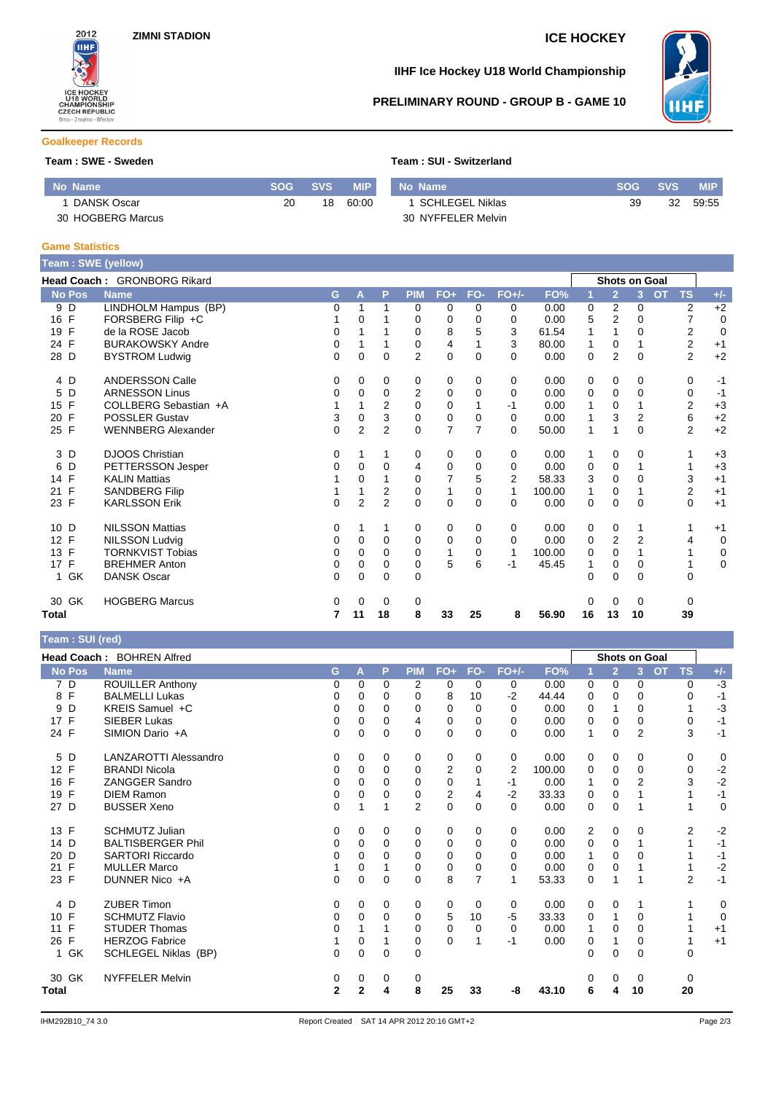

# **IIHF Ice Hockey U18 World Championship**



# **PRELIMINARY ROUND - GROUP B - GAME 10**

## **Goalkeeper Records**

### **Team : SWE - Sweden Team : SUI - Switzerland**

| No Name           | <b>SOG</b> | <b>SVS</b> | <b>MIP</b> | No Name            | <b>SOG</b> | <b>SVS</b> | <b>MIP</b> |
|-------------------|------------|------------|------------|--------------------|------------|------------|------------|
| DANSK Oscar       | 20         | 18         | 60.00      | SCHLEGEL Niklas    | 39         | 32         | 59.55      |
| 30 HOGBERG Marcus |            |            |            | 30 NYFFELER Melvin |            |            |            |

### **Game Statistics**

**Team : SUI (red)**

| Team: SWE (yellow) |                             |                |                |                |                |                |                |                |        |          |                |                |           |                |                |
|--------------------|-----------------------------|----------------|----------------|----------------|----------------|----------------|----------------|----------------|--------|----------|----------------|----------------|-----------|----------------|----------------|
|                    | Head Coach: GRONBORG Rikard |                |                |                |                |                |                |                |        |          | Shots on Goal  |                |           |                |                |
| <b>No Pos</b>      | <b>Name</b>                 | G              | A              | P              | <b>PIM</b>     | $FO+$          | FO-            | $FO+/-$        | FO%    |          | $\overline{2}$ | 3              | <b>OT</b> | <b>TS</b>      | $+/-$          |
| 9<br>D             | LINDHOLM Hampus (BP)        | 0              | 1              | 1              | $\mathbf 0$    | 0              | 0              | 0              | 0.00   | 0        | $\overline{2}$ | 0              |           | 2              | $+2$           |
| 16 F               | FORSBERG Filip +C           |                | 0              |                | 0              | $\Omega$       | $\Omega$       | 0              | 0.00   | 5        | 2              | $\Omega$       |           | 7              | 0              |
| F<br>19            | de la ROSE Jacob            | 0              | 1              |                | $\mathbf 0$    | 8              | 5              | 3              | 61.54  | 1        | 1              | $\Omega$       |           | 2              | $\overline{0}$ |
| 24 F               | <b>BURAKOWSKY Andre</b>     | 0              | 1              |                | $\Omega$       | 4              |                | 3              | 80.00  | 1        | $\Omega$       |                |           | 2              | $+1$           |
| 28 D               | <b>BYSTROM Ludwig</b>       | 0              | 0              | 0              | $\overline{2}$ | 0              | $\Omega$       | $\Omega$       | 0.00   | 0        | $\overline{2}$ | $\Omega$       |           | $\overline{2}$ | $+2$           |
| 4 D                | <b>ANDERSSON Calle</b>      | 0              | 0              | 0              | 0              | 0              | $\Omega$       | 0              | 0.00   | 0        | 0              | 0              |           | 0              | $-1$           |
| D<br>5             | <b>ARNESSON Linus</b>       | 0              | 0              | $\Omega$       | 2              | $\mathbf 0$    | $\Omega$       | $\Omega$       | 0.00   | 0        | 0              | $\Omega$       |           | 0              | $-1$           |
| F<br>15            | COLLBERG Sebastian +A       |                |                | 2              | $\Omega$       | 0              |                | -1             | 0.00   | 1        | $\Omega$       |                |           | 2              | $+3$           |
| F<br>20            | <b>POSSLER Gustav</b>       | 3              | 0              | 3              | 0              | $\mathbf 0$    | $\Omega$       | 0              | 0.00   | 1        | 3              | $\overline{2}$ |           | 6              | $+2$           |
| 25 F               | <b>WENNBERG Alexander</b>   | $\overline{0}$ | $\overline{2}$ | $\overline{2}$ | $\Omega$       | $\overline{7}$ | $\overline{7}$ | $\Omega$       | 50.00  | 1        | 1              | $\Omega$       |           | $\overline{2}$ | $+2$           |
| D<br>3             | <b>DJOOS Christian</b>      | 0              |                | 1              | 0              | 0              | 0              | 0              | 0.00   | 1        | 0              | 0              |           |                | $+3$           |
| D<br>6             | PETTERSSON Jesper           | 0              | 0              | 0              | 4              | 0              | $\Omega$       | 0              | 0.00   | 0        | 0              |                |           |                | $+3$           |
| 14 F               | <b>KALIN Mattias</b>        |                | $\mathbf 0$    |                | $\mathbf 0$    | $\overline{7}$ | 5              | $\overline{2}$ | 58.33  | 3        | $\mathbf 0$    | $\Omega$       |           | 3              | $+1$           |
| F<br>21            | <b>SANDBERG Filip</b>       |                |                | 2              | $\mathbf 0$    | $\mathbf{1}$   | 0              | 1              | 100.00 | 1        | $\mathbf 0$    |                |           | $\overline{2}$ | $+1$           |
| 23 F               | <b>KARLSSON Erik</b>        | $\Omega$       | $\overline{2}$ | $\overline{2}$ | $\Omega$       | $\Omega$       | $\Omega$       | $\Omega$       | 0.00   | $\Omega$ | $\Omega$       | $\Omega$       |           | $\Omega$       | $+1$           |
| D<br>10            | <b>NILSSON Mattias</b>      | 0              |                |                | 0              | 0              | $\Omega$       | 0              | 0.00   | 0        | 0              |                |           |                | $+1$           |
| F<br>12            | <b>NILSSON Ludvig</b>       | 0              | 0              | 0              | $\mathbf 0$    | 0              | $\Omega$       | $\Omega$       | 0.00   | 0        | $\overline{2}$ | $\overline{2}$ |           | 4              | $\mathbf 0$    |
| $\mathsf{F}$<br>13 | <b>TORNKVIST Tobias</b>     | 0              | $\Omega$       | $\Omega$       | $\mathbf 0$    | $\mathbf{1}$   | 0              | 1              | 100.00 | 0        | $\Omega$       |                |           |                | $\mathbf 0$    |
| $\mathsf{F}$<br>17 | <b>BREHMER Anton</b>        | 0              | 0              | 0              | 0              | $\sqrt{5}$     | 6              | $-1$           | 45.45  |          | 0              | 0              |           |                | $\mathbf 0$    |
| 1 GK               | <b>DANSK Oscar</b>          | 0              | 0              | $\Omega$       | $\mathbf 0$    |                |                |                |        | 0        | 0              | $\Omega$       |           | 0              |                |
| 30 GK              | <b>HOGBERG Marcus</b>       | 0              | 0              | 0              | 0              |                |                |                |        | 0        | 0              | 0              |           | 0              |                |
| Total              |                             | 7              | 11             | 18             | 8              | 33             | 25             | 8              | 56.90  | 16       | 13             | 10             |           | 39             |                |

|                    | Head Coach: BOHREN Alfred    |              |          |             |                |                |                |          |        |          |                | <b>Shots on Goal</b> |                        |             |
|--------------------|------------------------------|--------------|----------|-------------|----------------|----------------|----------------|----------|--------|----------|----------------|----------------------|------------------------|-------------|
| No Pos             | <b>Name</b>                  | G            | A        | P           | <b>PIM</b>     | $FO+$          | FO-            | $FO+/-$  | FO%    |          | $\overline{2}$ | $\overline{3}$       | <b>OT</b><br><b>TS</b> | $+/-$       |
| 7 D                | <b>ROUILLER Anthony</b>      | 0            | $\Omega$ | $\Omega$    | 2              | 0              | $\Omega$       | 0        | 0.00   | $\Omega$ | $\Omega$       | 0                    | 0                      | $-3$        |
| 8 F                | <b>BALMELLI Lukas</b>        | 0            | 0        | 0           | 0              | 8              | 10             | $-2$     | 44.44  | 0        | 0              | 0                    | 0                      | $-1$        |
| D<br>9             | KREIS Samuel +C              | 0            | 0        | 0           | 0              | 0              | 0              | $\Omega$ | 0.00   | 0        | 1              | $\Omega$             |                        | $-3$        |
| F<br>17            | <b>SIEBER Lukas</b>          | 0            | 0        | $\Omega$    | 4              | 0              | 0              | 0        | 0.00   | $\Omega$ | $\Omega$       | $\Omega$             | 0                      | $-1$        |
| 24 F               | SIMION Dario +A              | 0            | 0        | 0           | 0              | 0              | 0              | $\Omega$ | 0.00   | 1        | $\Omega$       | $\overline{2}$       | 3                      | $-1$        |
| 5 D                | <b>LANZAROTTI Alessandro</b> | 0            | 0        | 0           | 0              | 0              | 0              | 0        | 0.00   | 0        | 0              | 0                    | 0                      | 0           |
| 12 F               | <b>BRANDI Nicola</b>         | 0            | $\Omega$ | 0           | 0              | 2              | $\Omega$       | 2        | 100.00 | 0        | 0              | $\Omega$             | 0                      | $-2$        |
| $\mathsf{F}$<br>16 | ZANGGER Sandro               | 0            | $\Omega$ | 0           | 0              | 0              |                | $-1$     | 0.00   |          | 0              | $\overline{2}$       | 3                      | $-2$        |
| 19 F               | <b>DIEM Ramon</b>            | 0            | $\Omega$ | 0           | 0              | $\overline{2}$ | 4              | $-2$     | 33.33  | 0        | 0              |                      |                        | $-1$        |
| 27 D               | <b>BUSSER Xeno</b>           | 0            |          |             | $\overline{2}$ | 0              | 0              | $\Omega$ | 0.00   | 0        | $\mathbf 0$    |                      |                        | $\mathbf 0$ |
| 13 F               | <b>SCHMUTZ Julian</b>        | 0            | $\Omega$ | 0           | 0              | 0              | 0              | 0        | 0.00   | 2        | 0              | 0                    | 2                      | $-2$        |
| 14 D               | <b>BALTISBERGER Phil</b>     | 0            | 0        | 0           | 0              | 0              | 0              | 0        | 0.00   | 0        | 0              |                      |                        | $-1$        |
| 20<br>D            | SARTORI Riccardo             | 0            | 0        | $\Omega$    | $\Omega$       | $\Omega$       | 0              | 0        | 0.00   | 1        | $\Omega$       | $\Omega$             |                        | $-1$        |
| $\mathsf{F}$<br>21 | <b>MULLER Marco</b>          |              | $\Omega$ |             | 0              | 0              | 0              | 0        | 0.00   | 0        | $\Omega$       |                      |                        | $-2$        |
| 23 F               | DUNNER Nico +A               | 0            | 0        | $\Omega$    | $\Omega$       | 8              | $\overline{7}$ |          | 53.33  | 0        | 1              |                      | $\overline{2}$         | $-1$        |
| 4 D                | <b>ZUBER Timon</b>           | 0            | $\Omega$ | 0           | 0              | 0              | 0              | 0        | 0.00   | 0        | 0              |                      |                        | 0           |
| F<br>10            | <b>SCHMUTZ Flavio</b>        | 0            | 0        | 0           | 0              | 5              | 10             | $-5$     | 33.33  | 0        | 1              | $\Omega$             |                        | $\mathbf 0$ |
| $\mathsf{F}$<br>11 | <b>STUDER Thomas</b>         | 0            |          |             | 0              | 0              | 0              | 0        | 0.00   |          | $\Omega$       | 0                    |                        | $+1$        |
| $\mathsf{F}$<br>26 | <b>HERZOG Fabrice</b>        |              | 0        |             | 0              | $\Omega$       |                | $-1$     | 0.00   | 0        | 1              | $\Omega$             |                        | $+1$        |
| 1 GK               | SCHLEGEL Niklas (BP)         | 0            | 0        | $\mathbf 0$ | $\Omega$       |                |                |          |        | 0        | $\Omega$       | $\Omega$             | 0                      |             |
| 30 GK              | <b>NYFFELER Melvin</b>       | 0            | 0        | 0           | 0              |                |                |          |        | 0        | 0              | 0                    | 0                      |             |
| Total              |                              | $\mathbf{2}$ | 2        | 4           | 8              | 25             | 33             | -8       | 43.10  | 6        | 4              | 10                   | 20                     |             |